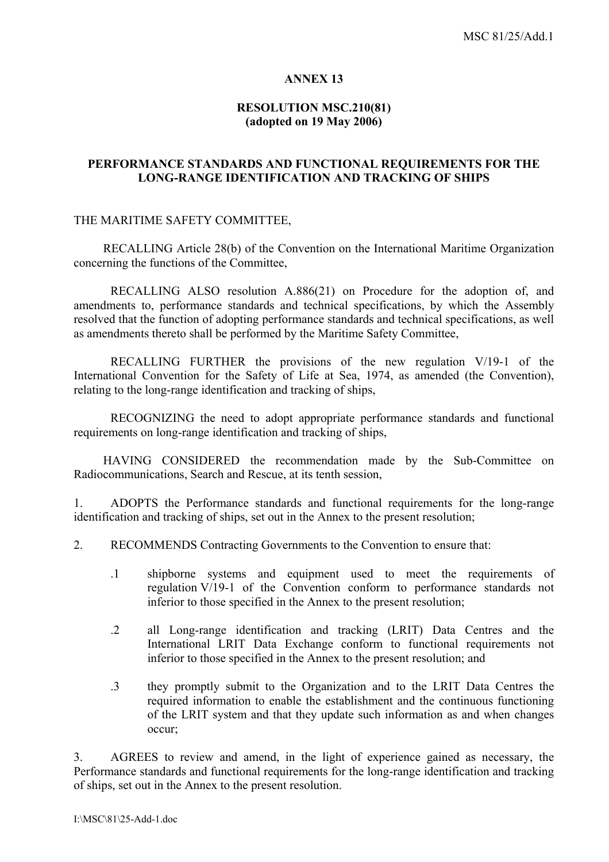#### **ANNEX 13**

## **RESOLUTION MSC.210(81) (adopted on 19 May 2006)**

### **PERFORMANCE STANDARDS AND FUNCTIONAL REQUIREMENTS FOR THE LONG-RANGE IDENTIFICATION AND TRACKING OF SHIPS**

#### THE MARITIME SAFETY COMMITTEE,

RECALLING Article 28(b) of the Convention on the International Maritime Organization concerning the functions of the Committee,

 RECALLING ALSO resolution A.886(21) on Procedure for the adoption of, and amendments to, performance standards and technical specifications, by which the Assembly resolved that the function of adopting performance standards and technical specifications, as well as amendments thereto shall be performed by the Maritime Safety Committee,

 RECALLING FURTHER the provisions of the new regulation V/19-1 of the International Convention for the Safety of Life at Sea, 1974, as amended (the Convention). relating to the long-range identification and tracking of ships,

 RECOGNIZING the need to adopt appropriate performance standards and functional requirements on long-range identification and tracking of ships,

HAVING CONSIDERED the recommendation made by the Sub-Committee on Radiocommunications, Search and Rescue, at its tenth session,

1. ADOPTS the Performance standards and functional requirements for the long-range identification and tracking of ships, set out in the Annex to the present resolution;

2. RECOMMENDS Contracting Governments to the Convention to ensure that:

- .1 shipborne systems and equipment used to meet the requirements of regulation V/19-1 of the Convention conform to performance standards not inferior to those specified in the Annex to the present resolution;
- .2 all Long-range identification and tracking (LRIT) Data Centres and the International LRIT Data Exchange conform to functional requirements not inferior to those specified in the Annex to the present resolution; and
- .3 they promptly submit to the Organization and to the LRIT Data Centres the required information to enable the establishment and the continuous functioning of the LRIT system and that they update such information as and when changes occur;

3. AGREES to review and amend, in the light of experience gained as necessary, the Performance standards and functional requirements for the long-range identification and tracking of ships, set out in the Annex to the present resolution.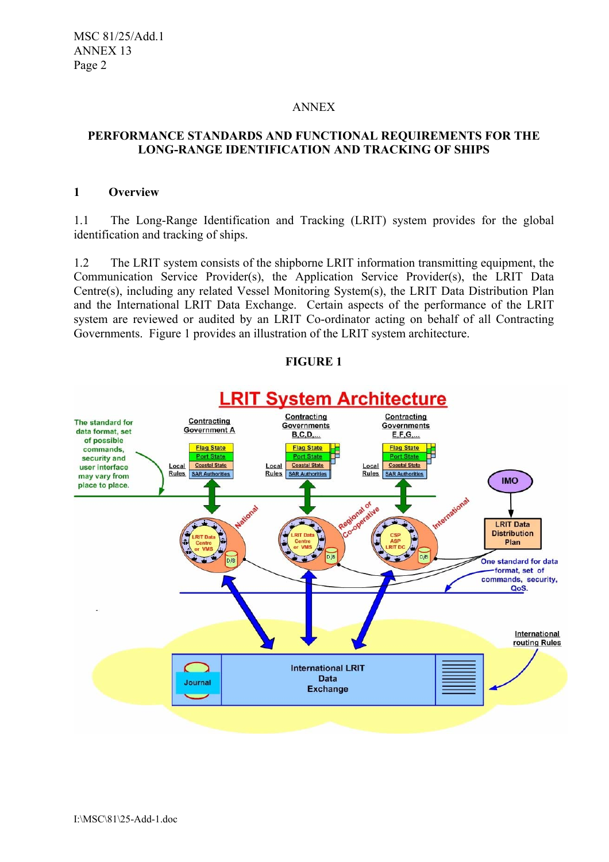MSC 81/25/Add.1 ANNEX 13 Page 2

#### ANNEX

### **PERFORMANCE STANDARDS AND FUNCTIONAL REQUIREMENTS FOR THE LONG-RANGE IDENTIFICATION AND TRACKING OF SHIPS**

### **1 Overview**

1.1 The Long-Range Identification and Tracking (LRIT) system provides for the global identification and tracking of ships.

1.2 The LRIT system consists of the shipborne LRIT information transmitting equipment, the Communication Service Provider(s), the Application Service Provider(s), the LRIT Data Centre(s), including any related Vessel Monitoring System(s), the LRIT Data Distribution Plan and the International LRIT Data Exchange. Certain aspects of the performance of the LRIT system are reviewed or audited by an LRIT Co-ordinator acting on behalf of all Contracting Governments. Figure 1 provides an illustration of the LRIT system architecture.

#### **FIGURE 1**

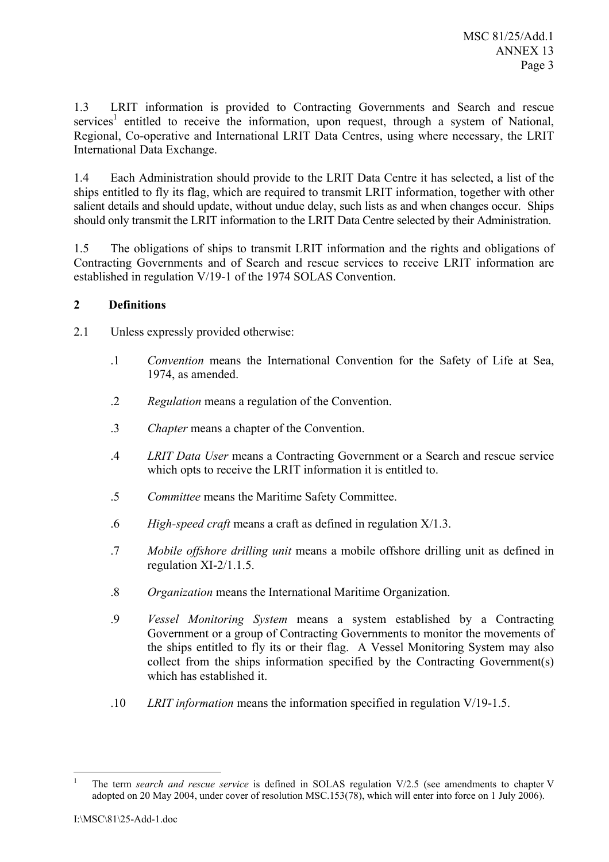1.3 LRIT information is provided to Contracting Governments and Search and rescue services<sup>1</sup> entitled to receive the information, upon request, through a system of National, Regional, Co-operative and International LRIT Data Centres, using where necessary, the LRIT International Data Exchange.

1.4 Each Administration should provide to the LRIT Data Centre it has selected, a list of the ships entitled to fly its flag, which are required to transmit LRIT information, together with other salient details and should update, without undue delay, such lists as and when changes occur. Ships should only transmit the LRIT information to the LRIT Data Centre selected by their Administration.

1.5 The obligations of ships to transmit LRIT information and the rights and obligations of Contracting Governments and of Search and rescue services to receive LRIT information are established in regulation V/19-1 of the 1974 SOLAS Convention.

## **2 Definitions**

- 2.1 Unless expressly provided otherwise:
	- .1 *Convention* means the International Convention for the Safety of Life at Sea, 1974, as amended.
	- .2 *Regulation* means a regulation of the Convention.
	- .3 *Chapter* means a chapter of the Convention.
	- .4 *LRIT Data User* means a Contracting Government or a Search and rescue service which opts to receive the LRIT information it is entitled to.
	- .5 *Committee* means the Maritime Safety Committee.
	- .6 *High-speed craft* means a craft as defined in regulation X/1.3.
	- .7 *Mobile offshore drilling unit* means a mobile offshore drilling unit as defined in regulation XI-2/1.1.5.
	- .8 *Organization* means the International Maritime Organization.
	- .9 *Vessel Monitoring System* means a system established by a Contracting Government or a group of Contracting Governments to monitor the movements of the ships entitled to fly its or their flag. A Vessel Monitoring System may also collect from the ships information specified by the Contracting Government(s) which has established it.
	- .10 *LRIT information* means the information specified in regulation V/19-1.5.

 $\frac{1}{1}$  The term *search and rescue service* is defined in SOLAS regulation V/2.5 (see amendments to chapter V adopted on 20 May 2004, under cover of resolution MSC.153(78), which will enter into force on 1 July 2006).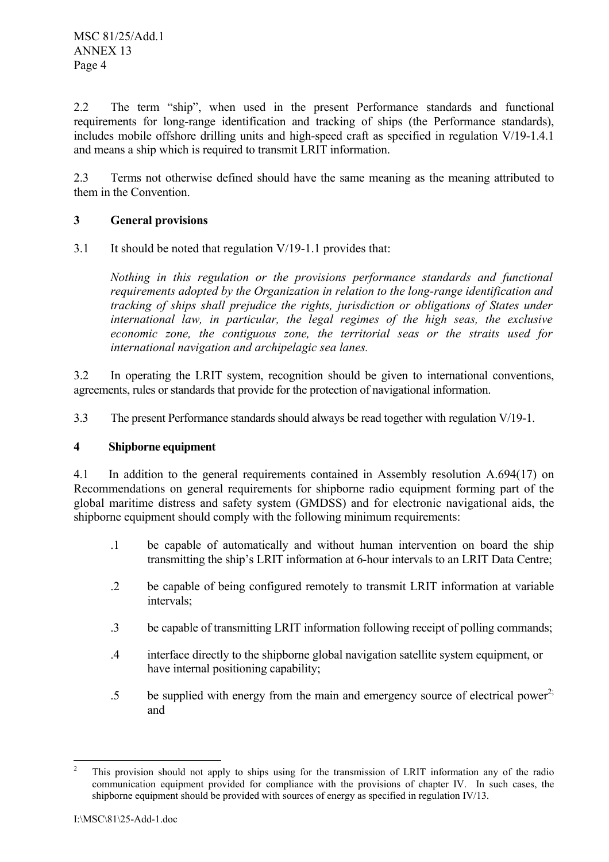2.2 The term "ship", when used in the present Performance standards and functional requirements for long-range identification and tracking of ships (the Performance standards), includes mobile offshore drilling units and high-speed craft as specified in regulation V/19-1.4.1 and means a ship which is required to transmit LRIT information.

2.3 Terms not otherwise defined should have the same meaning as the meaning attributed to them in the Convention.

## **3 General provisions**

3.1 It should be noted that regulation V/19-1.1 provides that:

*Nothing in this regulation or the provisions performance standards and functional requirements adopted by the Organization in relation to the long-range identification and tracking of ships shall prejudice the rights, jurisdiction or obligations of States under international law, in particular, the legal regimes of the high seas, the exclusive economic zone, the contiguous zone, the territorial seas or the straits used for international navigation and archipelagic sea lanes.* 

3.2 In operating the LRIT system, recognition should be given to international conventions, agreements, rules or standards that provide for the protection of navigational information.

3.3 The present Performance standards should always be read together with regulation V/19-1.

## **4 Shipborne equipment**

4.1 In addition to the general requirements contained in Assembly resolution A.694(17) on Recommendations on general requirements for shipborne radio equipment forming part of the global maritime distress and safety system (GMDSS) and for electronic navigational aids, the shipborne equipment should comply with the following minimum requirements:

- .1 be capable of automatically and without human intervention on board the ship transmitting the ship's LRIT information at 6-hour intervals to an LRIT Data Centre;
- .2 be capable of being configured remotely to transmit LRIT information at variable intervals;
- .3 be capable of transmitting LRIT information following receipt of polling commands;
- .4 interface directly to the shipborne global navigation satellite system equipment, or have internal positioning capability;
- $\sim$  5 be supplied with energy from the main and emergency source of electrical power<sup>2;</sup> and

 $\overline{c}$ 2 This provision should not apply to ships using for the transmission of LRIT information any of the radio communication equipment provided for compliance with the provisions of chapter IV. In such cases, the shipborne equipment should be provided with sources of energy as specified in regulation IV/13.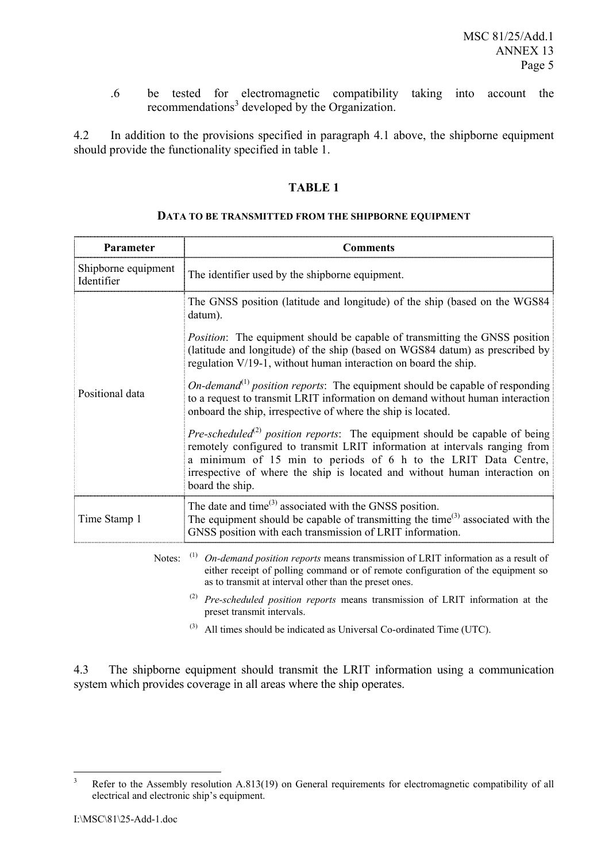.6 be tested for electromagnetic compatibility taking into account the recommendations<sup>3</sup> developed by the Organization.

4.2 In addition to the provisions specified in paragraph 4.1 above, the shipborne equipment should provide the functionality specified in table 1.

### **TABLE 1**

#### **DATA TO BE TRANSMITTED FROM THE SHIPBORNE EQUIPMENT**

| Parameter                         | <b>Comments</b>                                                                                                                                                                                                                                                                                                                                 |
|-----------------------------------|-------------------------------------------------------------------------------------------------------------------------------------------------------------------------------------------------------------------------------------------------------------------------------------------------------------------------------------------------|
| Shipborne equipment<br>Identifier | The identifier used by the shipborne equipment.                                                                                                                                                                                                                                                                                                 |
| Positional data                   | The GNSS position (latitude and longitude) of the ship (based on the WGS84<br>datum).                                                                                                                                                                                                                                                           |
|                                   | <i>Position:</i> The equipment should be capable of transmitting the GNSS position<br>(latitude and longitude) of the ship (based on WGS84 datum) as prescribed by<br>regulation V/19-1, without human interaction on board the ship.                                                                                                           |
|                                   | <i>On-demand</i> <sup>(1)</sup> position reports: The equipment should be capable of responding<br>to a request to transmit LRIT information on demand without human interaction<br>onboard the ship, irrespective of where the ship is located.                                                                                                |
|                                   | <i>Pre-scheduled</i> <sup>(2)</sup> position reports: The equipment should be capable of being<br>remotely configured to transmit LRIT information at intervals ranging from<br>a minimum of 15 min to periods of 6 h to the LRIT Data Centre,<br>irrespective of where the ship is located and without human interaction on<br>board the ship. |
| Time Stamp 1                      | The date and time $^{(3)}$ associated with the GNSS position.<br>The equipment should be capable of transmitting the time <sup>(3)</sup> associated with the<br>GNSS position with each transmission of LRIT information.                                                                                                                       |
| Notes:                            | (1)<br>On-demand position reports means transmission of LRIT information as a result of<br>either receipt of polling command or of remote configuration of the equipment so<br>as to transmit at interval other than the preset ones.                                                                                                           |

(2) *Pre-scheduled position reports* means transmission of LRIT information at the preset transmit intervals.

(3) All times should be indicated as Universal Co-ordinated Time (UTC).

4.3 The shipborne equipment should transmit the LRIT information using a communication system which provides coverage in all areas where the ship operates.

 3 Refer to the Assembly resolution A.813(19) on General requirements for electromagnetic compatibility of all electrical and electronic ship's equipment.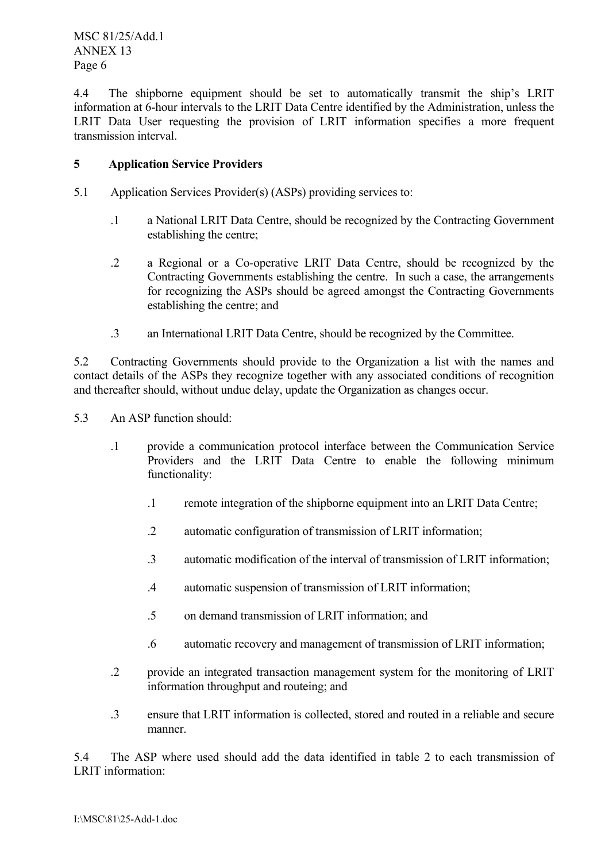MSC 81/25/Add.1 ANNEX 13 Page 6

4.4 The shipborne equipment should be set to automatically transmit the ship's LRIT information at 6-hour intervals to the LRIT Data Centre identified by the Administration, unless the LRIT Data User requesting the provision of LRIT information specifies a more frequent transmission interval.

## **5 Application Service Providers**

- 5.1 Application Services Provider(s) (ASPs) providing services to:
	- .1 a National LRIT Data Centre, should be recognized by the Contracting Government establishing the centre;
	- .2 a Regional or a Co-operative LRIT Data Centre, should be recognized by the Contracting Governments establishing the centre. In such a case, the arrangements for recognizing the ASPs should be agreed amongst the Contracting Governments establishing the centre; and
	- .3 an International LRIT Data Centre, should be recognized by the Committee.

5.2 Contracting Governments should provide to the Organization a list with the names and contact details of the ASPs they recognize together with any associated conditions of recognition and thereafter should, without undue delay, update the Organization as changes occur.

5.3 An ASP function should:

- .1 provide a communication protocol interface between the Communication Service Providers and the LRIT Data Centre to enable the following minimum functionality:
	- .1 remote integration of the shipborne equipment into an LRIT Data Centre;
	- .2 automatic configuration of transmission of LRIT information;
	- .3 automatic modification of the interval of transmission of LRIT information;
	- .4 automatic suspension of transmission of LRIT information;
	- .5 on demand transmission of LRIT information; and
	- .6 automatic recovery and management of transmission of LRIT information;
- .2 provide an integrated transaction management system for the monitoring of LRIT information throughput and routeing; and
- .3 ensure that LRIT information is collected, stored and routed in a reliable and secure manner.

5.4 The ASP where used should add the data identified in table 2 to each transmission of LRIT information: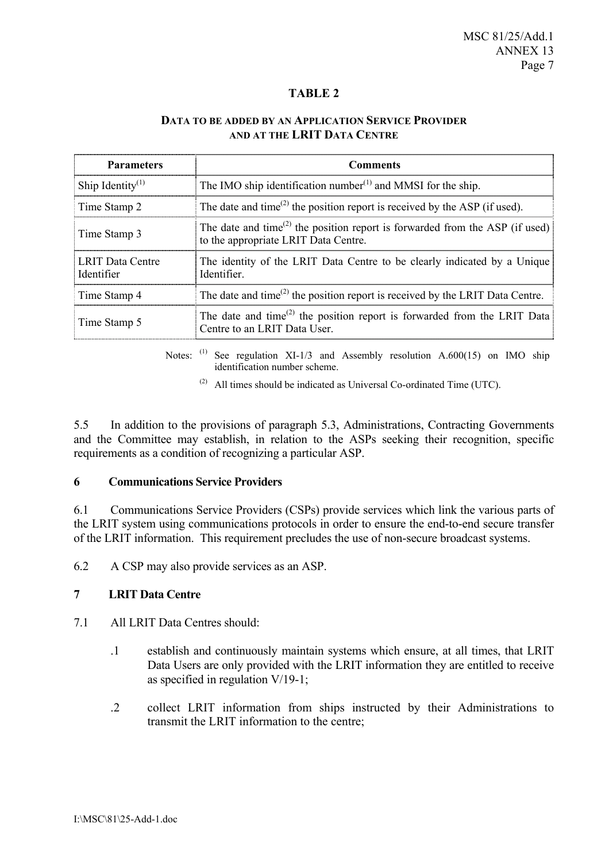### **TABLE 2**

### **DATA TO BE ADDED BY AN APPLICATION SERVICE PROVIDER AND AT THE LRIT DATA CENTRE**

| <b>Parameters</b>                     | <b>Comments</b>                                                                                                                               |
|---------------------------------------|-----------------------------------------------------------------------------------------------------------------------------------------------|
| Ship Identity <sup>(1)</sup>          | The IMO ship identification number <sup>(1)</sup> and MMSI for the ship.                                                                      |
| Time Stamp 2                          | The date and time <sup><math>(2)</math></sup> the position report is received by the ASP (if used).                                           |
| Time Stamp 3                          | The date and time <sup><math>(2)</math></sup> the position report is forwarded from the ASP (if used)<br>to the appropriate LRIT Data Centre. |
| <b>LRIT Data Centre</b><br>Identifier | The identity of the LRIT Data Centre to be clearly indicated by a Unique<br>Identifier.                                                       |
| Time Stamp 4                          | The date and time <sup><math>(2)</math></sup> the position report is received by the LRIT Data Centre.                                        |
| Time Stamp 5                          | The date and time <sup><math>(2)</math></sup> the position report is forwarded from the LRIT Data<br>Centre to an LRIT Data User.             |

Notes: (1) See regulation XI-1/3 and Assembly resolution A.600(15) on IMO ship identification number scheme.

 $(2)$  All times should be indicated as Universal Co-ordinated Time (UTC).

5.5 In addition to the provisions of paragraph 5.3, Administrations, Contracting Governments and the Committee may establish, in relation to the ASPs seeking their recognition, specific requirements as a condition of recognizing a particular ASP.

### **6 Communications Service Providers**

6.1 Communications Service Providers (CSPs) provide services which link the various parts of the LRIT system using communications protocols in order to ensure the end-to-end secure transfer of the LRIT information. This requirement precludes the use of non-secure broadcast systems.

6.2 A CSP may also provide services as an ASP.

### **7 LRIT Data Centre**

- 7.1 All LRIT Data Centres should:
	- .1 establish and continuously maintain systems which ensure, at all times, that LRIT Data Users are only provided with the LRIT information they are entitled to receive as specified in regulation V/19-1;
	- .2 collect LRIT information from ships instructed by their Administrations to transmit the LRIT information to the centre;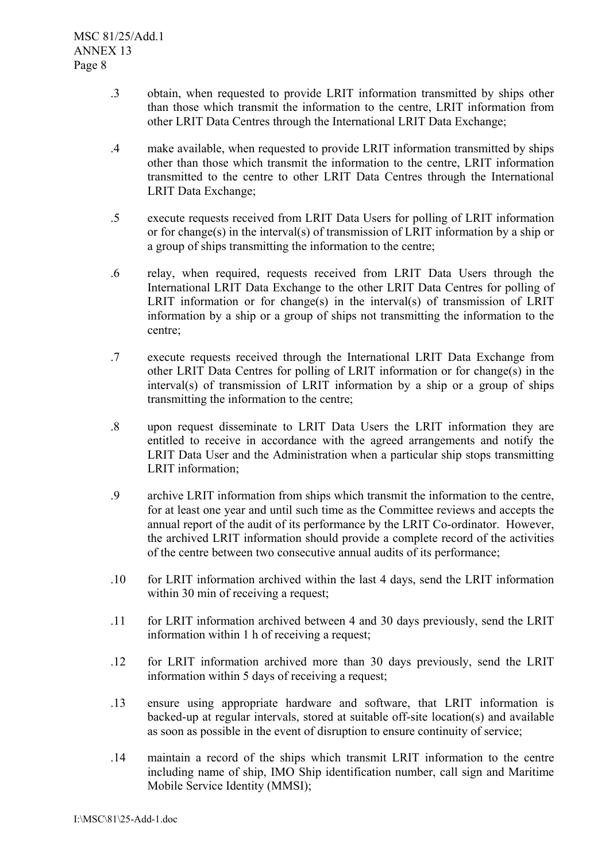- .3 obtain, when requested to provide LRIT information transmitted by ships other than those which transmit the information to the centre, LRIT information from other LRIT Data Centres through the International LRIT Data Exchange;
- .4 make available, when requested to provide LRIT information transmitted by ships other than those which transmit the information to the centre, LRIT information transmitted to the centre to other LRIT Data Centres through the International LRIT Data Exchange;
- .5 execute requests received from LRIT Data Users for polling of LRIT information or for change(s) in the interval(s) of transmission of LRIT information by a ship or a group of ships transmitting the information to the centre;
- .6 relay, when required, requests received from LRIT Data Users through the International LRIT Data Exchange to the other LRIT Data Centres for polling of LRIT information or for change(s) in the interval(s) of transmission of LRIT information by a ship or a group of ships not transmitting the information to the centre;
- .7 execute requests received through the International LRIT Data Exchange from other LRIT Data Centres for polling of LRIT information or for change(s) in the interval(s) of transmission of LRIT information by a ship or a group of ships transmitting the information to the centre;
- .8 upon request disseminate to LRIT Data Users the LRIT information they are entitled to receive in accordance with the agreed arrangements and notify the LRIT Data User and the Administration when a particular ship stops transmitting LRIT information;
- .9 archive LRIT information from ships which transmit the information to the centre, for at least one year and until such time as the Committee reviews and accepts the annual report of the audit of its performance by the LRIT Co-ordinator. However, the archived LRIT information should provide a complete record of the activities of the centre between two consecutive annual audits of its performance;
- .10 for LRIT information archived within the last 4 days, send the LRIT information within 30 min of receiving a request;
- .11 for LRIT information archived between 4 and 30 days previously, send the LRIT information within 1 h of receiving a request;
- .12 for LRIT information archived more than 30 days previously, send the LRIT information within 5 days of receiving a request;
- .13 ensure using appropriate hardware and software, that LRIT information is backed-up at regular intervals, stored at suitable off-site location(s) and available as soon as possible in the event of disruption to ensure continuity of service;
- .14 maintain a record of the ships which transmit LRIT information to the centre including name of ship, IMO Ship identification number, call sign and Maritime Mobile Service Identity (MMSI);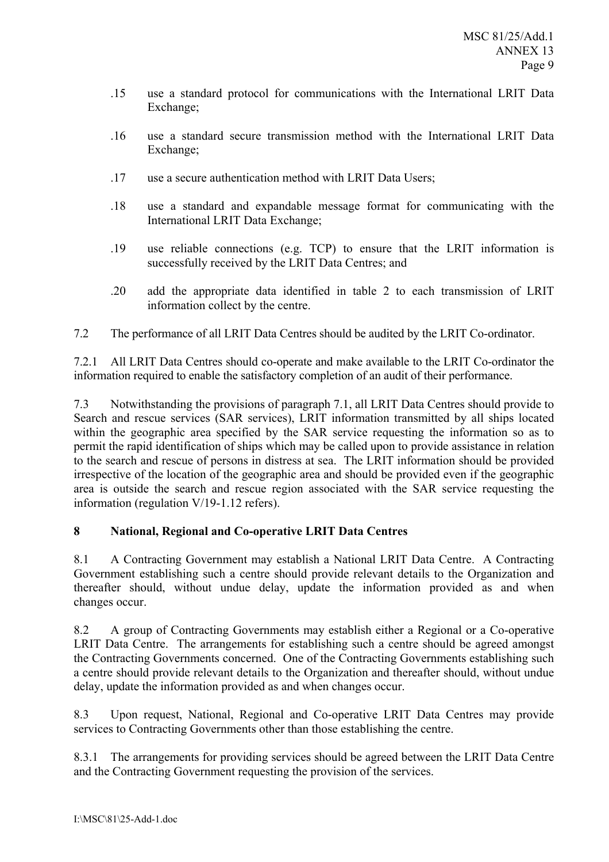- .15 use a standard protocol for communications with the International LRIT Data Exchange;
- .16 use a standard secure transmission method with the International LRIT Data Exchange;
- .17 use a secure authentication method with LRIT Data Users;
- .18 use a standard and expandable message format for communicating with the International LRIT Data Exchange;
- .19 use reliable connections (e.g. TCP) to ensure that the LRIT information is successfully received by the LRIT Data Centres; and
- .20 add the appropriate data identified in table 2 to each transmission of LRIT information collect by the centre.
- 7.2 The performance of all LRIT Data Centres should be audited by the LRIT Co-ordinator.

7.2.1 All LRIT Data Centres should co-operate and make available to the LRIT Co-ordinator the information required to enable the satisfactory completion of an audit of their performance.

7.3 Notwithstanding the provisions of paragraph 7.1, all LRIT Data Centres should provide to Search and rescue services (SAR services), LRIT information transmitted by all ships located within the geographic area specified by the SAR service requesting the information so as to permit the rapid identification of ships which may be called upon to provide assistance in relation to the search and rescue of persons in distress at sea. The LRIT information should be provided irrespective of the location of the geographic area and should be provided even if the geographic area is outside the search and rescue region associated with the SAR service requesting the information (regulation V/19-1.12 refers).

## **8 National, Regional and Co-operative LRIT Data Centres**

8.1 A Contracting Government may establish a National LRIT Data Centre. A Contracting Government establishing such a centre should provide relevant details to the Organization and thereafter should, without undue delay, update the information provided as and when changes occur.

8.2 A group of Contracting Governments may establish either a Regional or a Co-operative LRIT Data Centre. The arrangements for establishing such a centre should be agreed amongst the Contracting Governments concerned. One of the Contracting Governments establishing such a centre should provide relevant details to the Organization and thereafter should, without undue delay, update the information provided as and when changes occur.

8.3 Upon request, National, Regional and Co-operative LRIT Data Centres may provide services to Contracting Governments other than those establishing the centre.

8.3.1 The arrangements for providing services should be agreed between the LRIT Data Centre and the Contracting Government requesting the provision of the services.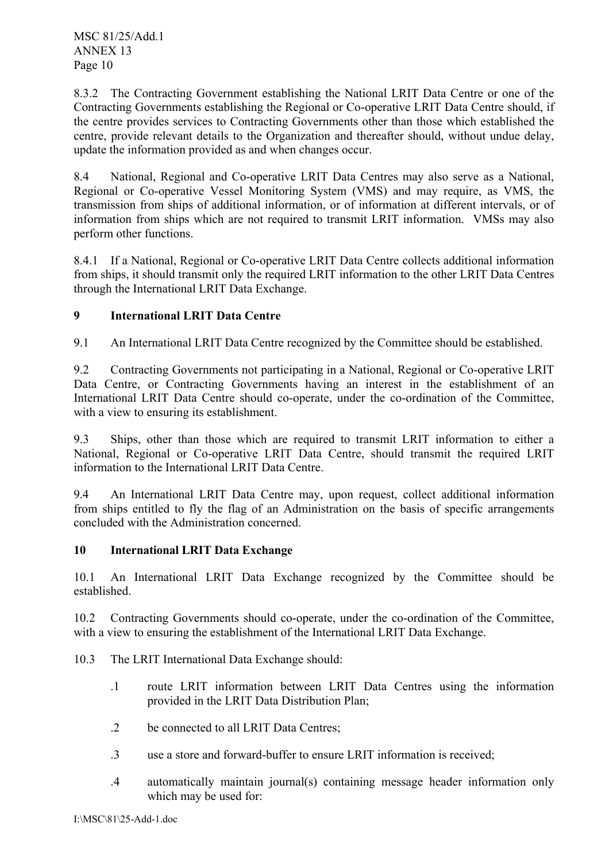8.3.2 The Contracting Government establishing the National LRIT Data Centre or one of the Contracting Governments establishing the Regional or Co-operative LRIT Data Centre should, if the centre provides services to Contracting Governments other than those which established the centre, provide relevant details to the Organization and thereafter should, without undue delay, update the information provided as and when changes occur.

8.4 National, Regional and Co-operative LRIT Data Centres may also serve as a National, Regional or Co-operative Vessel Monitoring System (VMS) and may require, as VMS, the transmission from ships of additional information, or of information at different intervals, or of information from ships which are not required to transmit LRIT information. VMSs may also perform other functions.

8.4.1 If a National, Regional or Co-operative LRIT Data Centre collects additional information from ships, it should transmit only the required LRIT information to the other LRIT Data Centres through the International LRIT Data Exchange.

# **9 International LRIT Data Centre**

9.1 An International LRIT Data Centre recognized by the Committee should be established.

9.2 Contracting Governments not participating in a National, Regional or Co-operative LRIT Data Centre, or Contracting Governments having an interest in the establishment of an International LRIT Data Centre should co-operate, under the co-ordination of the Committee, with a view to ensuring its establishment.

9.3 Ships, other than those which are required to transmit LRIT information to either a National, Regional or Co-operative LRIT Data Centre, should transmit the required LRIT information to the International LRIT Data Centre.

9.4 An International LRIT Data Centre may, upon request, collect additional information from ships entitled to fly the flag of an Administration on the basis of specific arrangements concluded with the Administration concerned.

## **10 International LRIT Data Exchange**

10.1 An International LRIT Data Exchange recognized by the Committee should be established.

10.2 Contracting Governments should co-operate, under the co-ordination of the Committee, with a view to ensuring the establishment of the International LRIT Data Exchange.

- 10.3 The LRIT International Data Exchange should:
	- .1 route LRIT information between LRIT Data Centres using the information provided in the LRIT Data Distribution Plan;
	- .2 be connected to all LRIT Data Centres;
	- .3 use a store and forward-buffer to ensure LRIT information is received;
	- .4 automatically maintain journal(s) containing message header information only which may be used for: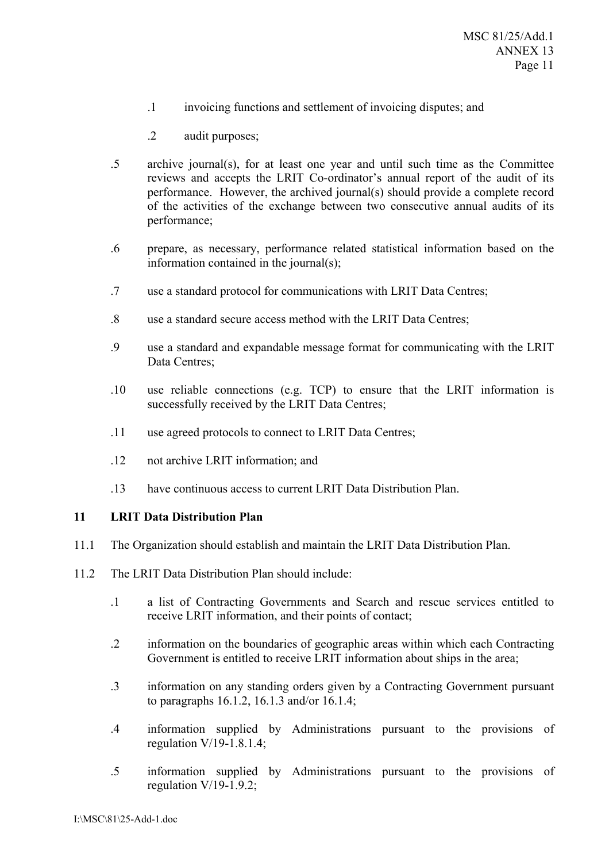- .1 invoicing functions and settlement of invoicing disputes; and
- .2 audit purposes;
- .5 archive journal(s), for at least one year and until such time as the Committee reviews and accepts the LRIT Co-ordinator's annual report of the audit of its performance. However, the archived journal(s) should provide a complete record of the activities of the exchange between two consecutive annual audits of its performance;
- .6 prepare, as necessary, performance related statistical information based on the information contained in the journal(s);
- .7 use a standard protocol for communications with LRIT Data Centres;
- .8 use a standard secure access method with the LRIT Data Centres;
- .9 use a standard and expandable message format for communicating with the LRIT Data Centres;
- .10 use reliable connections (e.g. TCP) to ensure that the LRIT information is successfully received by the LRIT Data Centres;
- .11 use agreed protocols to connect to LRIT Data Centres;
- .12 not archive LRIT information; and
- .13 have continuous access to current LRIT Data Distribution Plan.

### **11 LRIT Data Distribution Plan**

- 11.1 The Organization should establish and maintain the LRIT Data Distribution Plan.
- 11.2 The LRIT Data Distribution Plan should include:
	- .1 a list of Contracting Governments and Search and rescue services entitled to receive LRIT information, and their points of contact;
	- .2 information on the boundaries of geographic areas within which each Contracting Government is entitled to receive LRIT information about ships in the area;
	- .3 information on any standing orders given by a Contracting Government pursuant to paragraphs 16.1.2, 16.1.3 and/or 16.1.4;
	- .4 information supplied by Administrations pursuant to the provisions of regulation V/19-1.8.1.4;
	- .5 information supplied by Administrations pursuant to the provisions of regulation  $V/19-1.9.2$ ;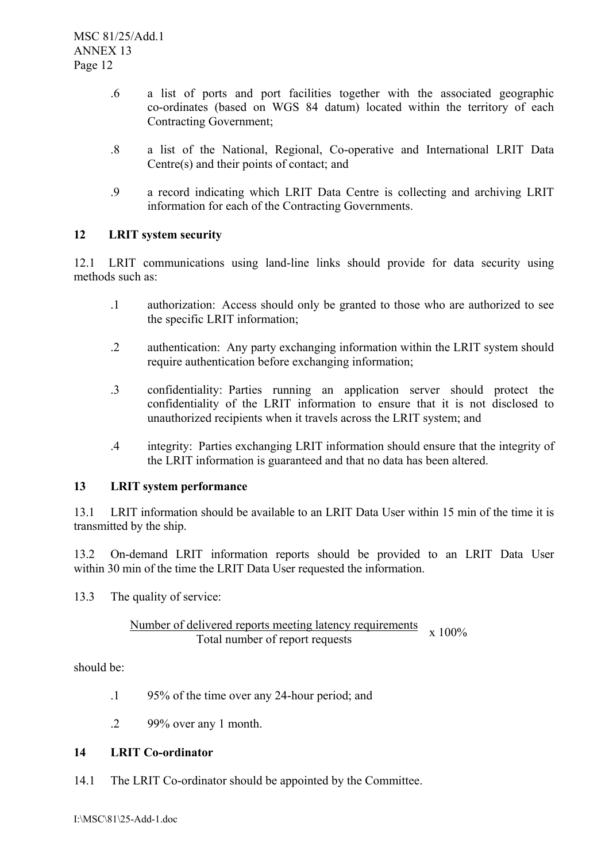- .6 a list of ports and port facilities together with the associated geographic co-ordinates (based on WGS 84 datum) located within the territory of each Contracting Government;
- .8 a list of the National, Regional, Co-operative and International LRIT Data Centre(s) and their points of contact; and
- .9 a record indicating which LRIT Data Centre is collecting and archiving LRIT information for each of the Contracting Governments.

## **12 LRIT system security**

12.1 LRIT communications using land-line links should provide for data security using methods such as:

- .1 authorization: Access should only be granted to those who are authorized to see the specific LRIT information;
- .2 authentication: Any party exchanging information within the LRIT system should require authentication before exchanging information;
- .3 confidentiality: Parties running an application server should protect the confidentiality of the LRIT information to ensure that it is not disclosed to unauthorized recipients when it travels across the LRIT system; and
- .4 integrity: Parties exchanging LRIT information should ensure that the integrity of the LRIT information is guaranteed and that no data has been altered.

## **13 LRIT system performance**

13.1 LRIT information should be available to an LRIT Data User within 15 min of the time it is transmitted by the ship.

13.2 On-demand LRIT information reports should be provided to an LRIT Data User within 30 min of the time the LRIT Data User requested the information.

13.3 The quality of service:

### Number of delivered reports meeting latency requirements Total number of report requests x 100%

should be:

- .1 95% of the time over any 24-hour period; and
- .2 99% over any 1 month.

## **14 LRIT Co-ordinator**

14.1 The LRIT Co-ordinator should be appointed by the Committee.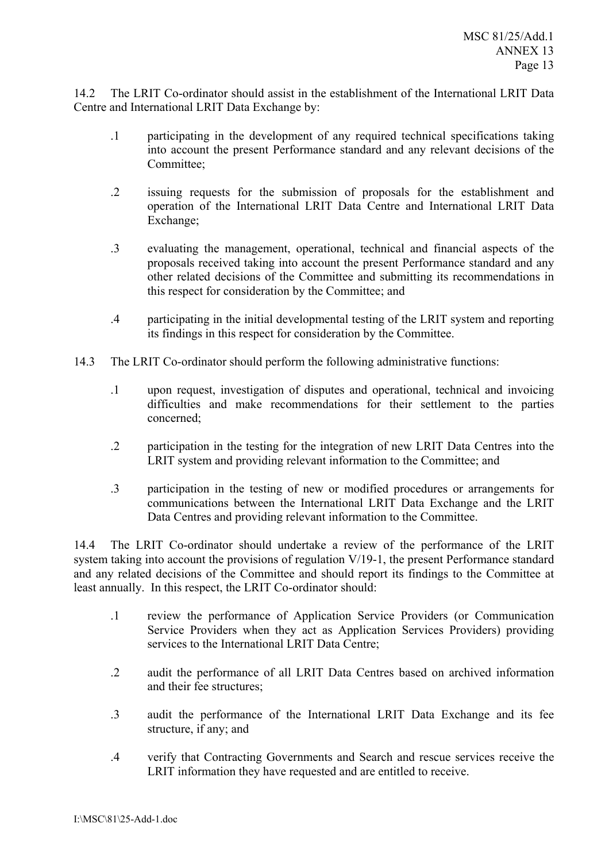14.2 The LRIT Co-ordinator should assist in the establishment of the International LRIT Data Centre and International LRIT Data Exchange by:

- .1 participating in the development of any required technical specifications taking into account the present Performance standard and any relevant decisions of the Committee<sup>.</sup>
- .2 issuing requests for the submission of proposals for the establishment and operation of the International LRIT Data Centre and International LRIT Data Exchange;
- .3 evaluating the management, operational, technical and financial aspects of the proposals received taking into account the present Performance standard and any other related decisions of the Committee and submitting its recommendations in this respect for consideration by the Committee; and
- .4 participating in the initial developmental testing of the LRIT system and reporting its findings in this respect for consideration by the Committee.
- 14.3 The LRIT Co-ordinator should perform the following administrative functions:
	- .1 upon request, investigation of disputes and operational, technical and invoicing difficulties and make recommendations for their settlement to the parties concerned;
	- .2 participation in the testing for the integration of new LRIT Data Centres into the LRIT system and providing relevant information to the Committee; and
	- .3 participation in the testing of new or modified procedures or arrangements for communications between the International LRIT Data Exchange and the LRIT Data Centres and providing relevant information to the Committee.

14.4 The LRIT Co-ordinator should undertake a review of the performance of the LRIT system taking into account the provisions of regulation V/19-1, the present Performance standard and any related decisions of the Committee and should report its findings to the Committee at least annually. In this respect, the LRIT Co-ordinator should:

- .1 review the performance of Application Service Providers (or Communication Service Providers when they act as Application Services Providers) providing services to the International LRIT Data Centre;
- .2 audit the performance of all LRIT Data Centres based on archived information and their fee structures;
- .3 audit the performance of the International LRIT Data Exchange and its fee structure, if any; and
- .4 verify that Contracting Governments and Search and rescue services receive the LRIT information they have requested and are entitled to receive.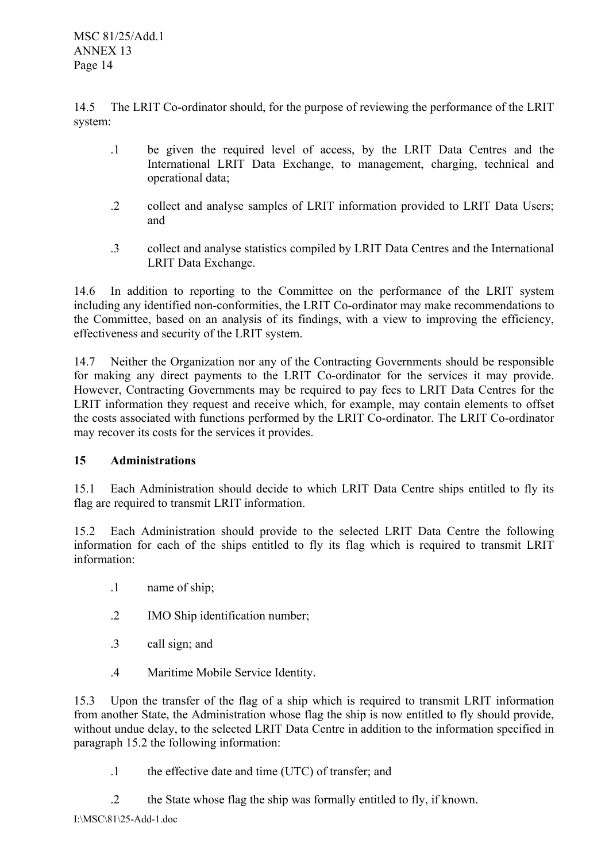MSC 81/25/Add.1 ANNEX 13 Page 14

14.5 The LRIT Co-ordinator should, for the purpose of reviewing the performance of the LRIT system:

- .1 be given the required level of access, by the LRIT Data Centres and the International LRIT Data Exchange, to management, charging, technical and operational data;
- .2 collect and analyse samples of LRIT information provided to LRIT Data Users; and
- .3 collect and analyse statistics compiled by LRIT Data Centres and the International LRIT Data Exchange.

14.6 In addition to reporting to the Committee on the performance of the LRIT system including any identified non-conformities, the LRIT Co-ordinator may make recommendations to the Committee, based on an analysis of its findings, with a view to improving the efficiency, effectiveness and security of the LRIT system.

14.7 Neither the Organization nor any of the Contracting Governments should be responsible for making any direct payments to the LRIT Co-ordinator for the services it may provide. However, Contracting Governments may be required to pay fees to LRIT Data Centres for the LRIT information they request and receive which, for example, may contain elements to offset the costs associated with functions performed by the LRIT Co-ordinator. The LRIT Co-ordinator may recover its costs for the services it provides.

# **15 Administrations**

15.1 Each Administration should decide to which LRIT Data Centre ships entitled to fly its flag are required to transmit LRIT information.

15.2 Each Administration should provide to the selected LRIT Data Centre the following information for each of the ships entitled to fly its flag which is required to transmit LRIT information:

- .1 name of ship;
- .2 IMO Ship identification number;
- .3 call sign; and
- .4 Maritime Mobile Service Identity.

15.3 Upon the transfer of the flag of a ship which is required to transmit LRIT information from another State, the Administration whose flag the ship is now entitled to fly should provide, without undue delay, to the selected LRIT Data Centre in addition to the information specified in paragraph 15.2 the following information:

- .1 the effective date and time (UTC) of transfer; and
- .2 the State whose flag the ship was formally entitled to fly, if known.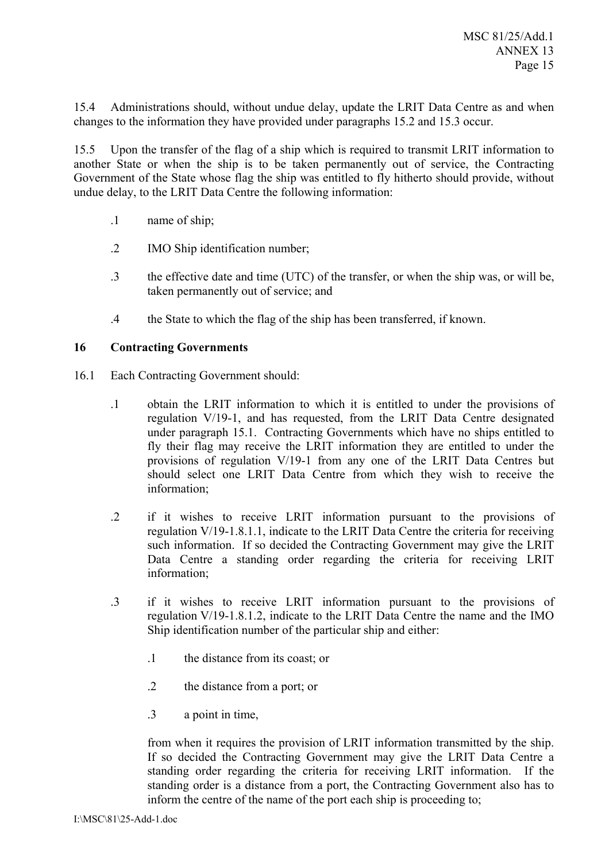15.4 Administrations should, without undue delay, update the LRIT Data Centre as and when changes to the information they have provided under paragraphs 15.2 and 15.3 occur.

15.5 Upon the transfer of the flag of a ship which is required to transmit LRIT information to another State or when the ship is to be taken permanently out of service, the Contracting Government of the State whose flag the ship was entitled to fly hitherto should provide, without undue delay, to the LRIT Data Centre the following information:

- .1 name of ship;
- .2 IMO Ship identification number;
- .3 the effective date and time (UTC) of the transfer, or when the ship was, or will be, taken permanently out of service; and
- .4 the State to which the flag of the ship has been transferred, if known.

### **16 Contracting Governments**

- 16.1 Each Contracting Government should:
	- .1 obtain the LRIT information to which it is entitled to under the provisions of regulation V/19-1, and has requested, from the LRIT Data Centre designated under paragraph 15.1. Contracting Governments which have no ships entitled to fly their flag may receive the LRIT information they are entitled to under the provisions of regulation V/19-1 from any one of the LRIT Data Centres but should select one LRIT Data Centre from which they wish to receive the information;
	- .2 if it wishes to receive LRIT information pursuant to the provisions of regulation V/19-1.8.1.1, indicate to the LRIT Data Centre the criteria for receiving such information. If so decided the Contracting Government may give the LRIT Data Centre a standing order regarding the criteria for receiving LRIT information;
	- .3 if it wishes to receive LRIT information pursuant to the provisions of regulation V/19-1.8.1.2, indicate to the LRIT Data Centre the name and the IMO Ship identification number of the particular ship and either:
		- .1 the distance from its coast; or
		- .2 the distance from a port; or
		- .3 a point in time,

from when it requires the provision of LRIT information transmitted by the ship. If so decided the Contracting Government may give the LRIT Data Centre a standing order regarding the criteria for receiving LRIT information. If the standing order is a distance from a port, the Contracting Government also has to inform the centre of the name of the port each ship is proceeding to;